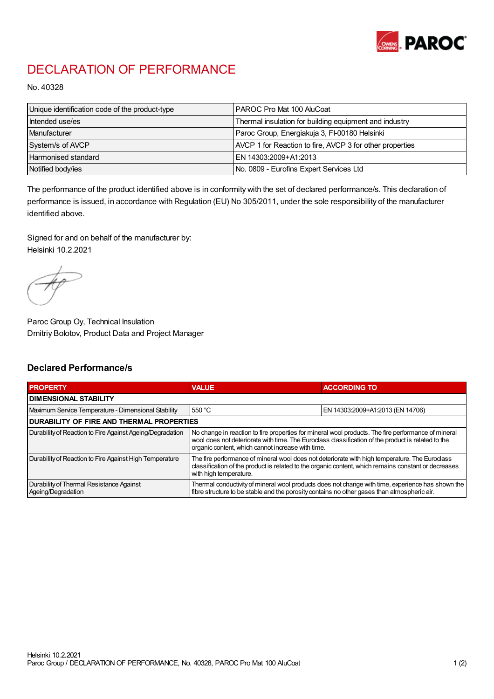

## DECLARATION OF PERFORMANCE

No. 40328

| Unique identification code of the product-type | IPAROC Pro Mat 100 AluCoat                               |
|------------------------------------------------|----------------------------------------------------------|
| Intended use/es                                | Thermal insulation for building equipment and industry   |
| Manufacturer                                   | Paroc Group, Energiakuja 3, FI-00180 Helsinki            |
| System/s of AVCP                               | AVCP 1 for Reaction to fire, AVCP 3 for other properties |
| Harmonised standard                            | IEN 14303:2009+A1:2013                                   |
| Notified body/ies                              | No. 0809 - Eurofins Expert Services Ltd                  |

The performance of the product identified above is in conformity with the set of declared performance/s. This declaration of performance is issued, in accordance with Regulation (EU) No 305/2011, under the sole responsibility of the manufacturer identified above.

Signed for and on behalf of the manufacturer by: Helsinki 10.2.2021

Paroc Group Oy, Technical Insulation Dmitriy Bolotov, Product Data and Project Manager

## Declared Performance/s

| <b>PROPERTY</b>                                                | <b>VALUE</b>                                                                                                                                                                                                                                                   | <b>ACCORDING TO.</b>             |  |
|----------------------------------------------------------------|----------------------------------------------------------------------------------------------------------------------------------------------------------------------------------------------------------------------------------------------------------------|----------------------------------|--|
| <b>DIMENSIONAL STABILITY</b>                                   |                                                                                                                                                                                                                                                                |                                  |  |
| Maximum Service Temperature - Dimensional Stability            | 550 °C                                                                                                                                                                                                                                                         | EN 14303:2009+A1:2013 (EN 14706) |  |
| <b>DURABILITY OF FIRE AND THERMAL PROPERTIES</b>               |                                                                                                                                                                                                                                                                |                                  |  |
| Durability of Reaction to Fire Against Ageing/Degradation      | No change in reaction to fire properties for mineral wool products. The fire performance of mineral<br>wool does not deteriorate with time. The Euroclass classification of the product is related to the<br>organic content, which cannot increase with time. |                                  |  |
| Durability of Reaction to Fire Against High Temperature        | The fire performance of mineral wool does not deteriorate with high temperature. The Euroclass<br>classification of the product is related to the organic content, which remains constant or decreases<br>with high temperature.                               |                                  |  |
| Durability of Thermal Resistance Against<br>Ageing/Degradation | Thermal conductivity of mineral wool products does not change with time, experience has shown the<br>fibre structure to be stable and the porosity contains no other gases than atmospheric air.                                                               |                                  |  |